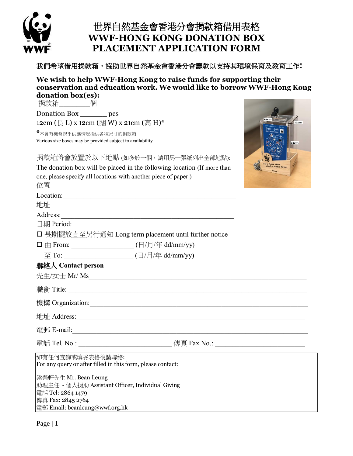

## 世界自然基金會香港分會捐款箱借用表格 **WWF-HONG KONG DONATION BOX PLACEMENT APPLICATION FORM**

## 我們希望借用捐款箱,協助世界自然基金會香港分會籌款以支持其環境保育及教育工作**!**

**We wish to help WWF-Hong Kong to raise funds for supporting their conservation and education work. We would like to borrow WWF-Hong Kong donation box(es):**

捐款箱\_\_\_\_\_\_\_個

Donation Box \_\_\_\_\_\_ pcs 12cm (長 L) x 12cm (闊 W) x 21cm (高 H)\*

\*本會有機會視乎供應情況提供各種尺寸的捐款箱 Various size boxes may be provided subject to availability



捐款箱將會放置於以下地點 (如多於一個,請用另一張紙列出全部地點): The donation boy will be placed in the following location  $(\mathbf{F})$ 

| one, please specify all locations with another piece of paper)<br>位置<br>Location:<br>地址<br>日期 Period:<br>□ 長期擺放直至另行通知 Long term placement until further notice<br>□ 由 From: _________________(日/月/年 dd/mm/yy)<br>至 To: _____________________(日/月/年 dd/mm/yy)<br>聯絡人 Contact person<br>電話 Tel. No.: _______________________________傳真 Fax No.: ________________________<br>如有任何查詢或填妥表格後請聯絡:<br>For any query or after filled in this form, please contact:<br>梁榮軒先生 Mr. Bean Leung<br>助理主任 - 個人捐助 Assistant Officer, Individual Giving | 電話 Tel: 2864 1479              | The donation box will be placed in the following focation (if more than |
|---------------------------------------------------------------------------------------------------------------------------------------------------------------------------------------------------------------------------------------------------------------------------------------------------------------------------------------------------------------------------------------------------------------------------------------------------------------------------------------------------------------------------------------|--------------------------------|-------------------------------------------------------------------------|
|                                                                                                                                                                                                                                                                                                                                                                                                                                                                                                                                       |                                |                                                                         |
|                                                                                                                                                                                                                                                                                                                                                                                                                                                                                                                                       |                                |                                                                         |
|                                                                                                                                                                                                                                                                                                                                                                                                                                                                                                                                       |                                |                                                                         |
|                                                                                                                                                                                                                                                                                                                                                                                                                                                                                                                                       |                                |                                                                         |
|                                                                                                                                                                                                                                                                                                                                                                                                                                                                                                                                       |                                |                                                                         |
|                                                                                                                                                                                                                                                                                                                                                                                                                                                                                                                                       |                                |                                                                         |
|                                                                                                                                                                                                                                                                                                                                                                                                                                                                                                                                       |                                |                                                                         |
|                                                                                                                                                                                                                                                                                                                                                                                                                                                                                                                                       |                                |                                                                         |
|                                                                                                                                                                                                                                                                                                                                                                                                                                                                                                                                       |                                |                                                                         |
|                                                                                                                                                                                                                                                                                                                                                                                                                                                                                                                                       |                                |                                                                         |
|                                                                                                                                                                                                                                                                                                                                                                                                                                                                                                                                       |                                |                                                                         |
|                                                                                                                                                                                                                                                                                                                                                                                                                                                                                                                                       |                                |                                                                         |
|                                                                                                                                                                                                                                                                                                                                                                                                                                                                                                                                       |                                |                                                                         |
|                                                                                                                                                                                                                                                                                                                                                                                                                                                                                                                                       |                                |                                                                         |
|                                                                                                                                                                                                                                                                                                                                                                                                                                                                                                                                       |                                |                                                                         |
|                                                                                                                                                                                                                                                                                                                                                                                                                                                                                                                                       |                                |                                                                         |
|                                                                                                                                                                                                                                                                                                                                                                                                                                                                                                                                       |                                |                                                                         |
|                                                                                                                                                                                                                                                                                                                                                                                                                                                                                                                                       |                                |                                                                         |
|                                                                                                                                                                                                                                                                                                                                                                                                                                                                                                                                       |                                |                                                                         |
| 傳真 Fax: 2845 2764                                                                                                                                                                                                                                                                                                                                                                                                                                                                                                                     |                                |                                                                         |
|                                                                                                                                                                                                                                                                                                                                                                                                                                                                                                                                       | 電郵 Email: beanleung@wwf.org.hk |                                                                         |